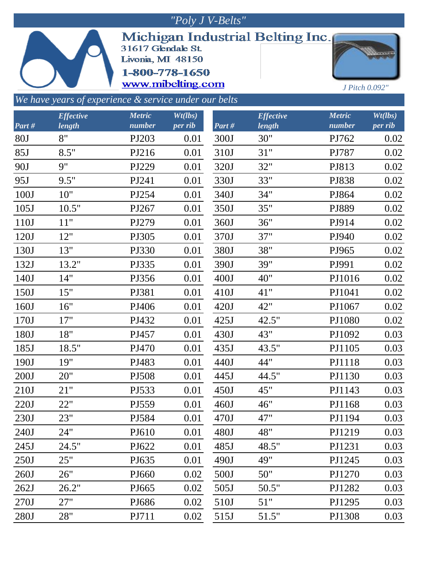| "Poly J V-Belts"                                      |                  |                                                                                |         |       |                                  |                |         |  |  |  |  |  |  |
|-------------------------------------------------------|------------------|--------------------------------------------------------------------------------|---------|-------|----------------------------------|----------------|---------|--|--|--|--|--|--|
|                                                       |                  | 31617 Glendale St.<br>Livonia, MI 48150<br>1-800-778-1650<br>www.mibelting.com |         |       | Michigan Industrial Belting Inc. | J Pitch 0.092" |         |  |  |  |  |  |  |
| We have years of experience & service under our belts |                  |                                                                                |         |       |                                  |                |         |  |  |  |  |  |  |
|                                                       | <b>Effective</b> | <b>Metric</b>                                                                  | Wt(lbs) |       | <b>Effective</b>                 | <b>Metric</b>  | Wt(lbs) |  |  |  |  |  |  |
| Part#                                                 | length           | number                                                                         | per rib | Part# | length                           | number         | per rib |  |  |  |  |  |  |
| 80J                                                   | 8"               | PJ203                                                                          | 0.01    | 300J  | 30"                              | PJ762          | 0.02    |  |  |  |  |  |  |
| 85J                                                   | 8.5"             | PJ216                                                                          | 0.01    | 310J  | 31"                              | PJ787          | 0.02    |  |  |  |  |  |  |
| 90J                                                   | 9"               | PJ229                                                                          | 0.01    | 320J  | 32"                              | PJ813          | 0.02    |  |  |  |  |  |  |
| 95J                                                   | 9.5"             | PJ241                                                                          | 0.01    | 330J  | 33"                              | PJ838          | 0.02    |  |  |  |  |  |  |
| 100J                                                  | 10"              | PJ254                                                                          | 0.01    | 340J  | 34"                              | PJ864          | 0.02    |  |  |  |  |  |  |
| 105J                                                  | 10.5"            | PJ267                                                                          | 0.01    | 350J  | 35"                              | PJ889          | 0.02    |  |  |  |  |  |  |
| 110J                                                  | 11"              | PJ279                                                                          | 0.01    | 360J  | 36"                              | PJ914          | 0.02    |  |  |  |  |  |  |
| 120J                                                  | 12"              | PJ305                                                                          | 0.01    | 370J  | 37"                              | PJ940          | 0.02    |  |  |  |  |  |  |
| 130J                                                  | 13"              | PJ330                                                                          | 0.01    | 380J  | 38"                              | PJ965          | 0.02    |  |  |  |  |  |  |
| 132J                                                  | 13.2"            | PJ335                                                                          | 0.01    | 390J  | 39"                              | PJ991          | 0.02    |  |  |  |  |  |  |
| 140J                                                  | 14"              | PJ356                                                                          | 0.01    | 400J  | 40"                              | PJ1016         | 0.02    |  |  |  |  |  |  |
| 150J                                                  | 15"              | PJ381                                                                          | 0.01    | 410J  | 41"                              | PJ1041         | 0.02    |  |  |  |  |  |  |
| 160J                                                  | 16"              | PJ406                                                                          | 0.01    | 420J  | 42"                              | PJ1067         | 0.02    |  |  |  |  |  |  |
| 170J                                                  | 17"              | PJ432                                                                          | 0.01    | 425J  | 42.5"                            | PJ1080         | 0.02    |  |  |  |  |  |  |
| 180J                                                  | 18"              | PJ457                                                                          | 0.01    | 430J  | 43"                              | PJ1092         | 0.03    |  |  |  |  |  |  |
| 185J                                                  | 18.5"            | PJ470                                                                          | 0.01    | 435J  | 43.5"                            | PJ1105         | 0.03    |  |  |  |  |  |  |
| 190J                                                  | 19"              | PJ483                                                                          | 0.01    | 440J  | 44"                              | PJ1118         | 0.03    |  |  |  |  |  |  |
| 200J                                                  | 20"              | PJ508                                                                          | 0.01    | 445J  | 44.5"                            | PJ1130         | 0.03    |  |  |  |  |  |  |
| 210J                                                  | 21"              | PJ533                                                                          | 0.01    | 450J  | 45"                              | PJ1143         | 0.03    |  |  |  |  |  |  |
| 220J                                                  | 22"              | PJ559                                                                          | 0.01    | 460J  | 46"                              | PJ1168         | 0.03    |  |  |  |  |  |  |
| 230J                                                  | 23"              | PJ584                                                                          | 0.01    | 470J  | 47"                              | PJ1194         | 0.03    |  |  |  |  |  |  |
| 240J                                                  | 24"              | PJ610                                                                          | 0.01    | 480J  | 48"                              | PJ1219         | 0.03    |  |  |  |  |  |  |
| 245J                                                  | 24.5"            | PJ622                                                                          | 0.01    | 485J  | 48.5"                            | PJ1231         | 0.03    |  |  |  |  |  |  |
| 250J                                                  | 25"              | PJ635                                                                          | 0.01    | 490J  | 49"                              | PJ1245         | 0.03    |  |  |  |  |  |  |
| 260J                                                  | 26"              | PJ660                                                                          | 0.02    | 500J  | 50"                              | PJ1270         | 0.03    |  |  |  |  |  |  |
| 262J                                                  | 26.2"            | PJ665                                                                          | 0.02    | 505J  | 50.5"                            | PJ1282         | 0.03    |  |  |  |  |  |  |
| 270J                                                  | 27"              | PJ686                                                                          | 0.02    | 510J  | 51"                              | PJ1295         | 0.03    |  |  |  |  |  |  |
| 280J                                                  | 28"              | PJ711                                                                          | 0.02    | 515J  | 51.5"                            | PJ1308         | 0.03    |  |  |  |  |  |  |